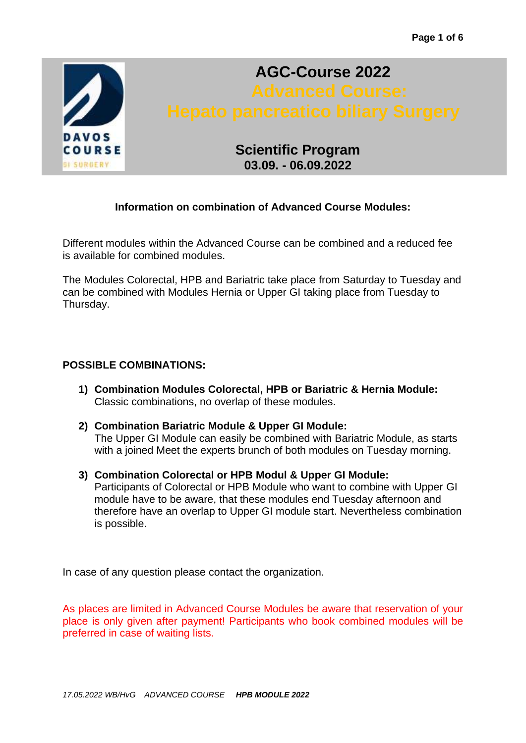

# **AGC-Course 2022**

# **Scientific Program 03.09. - 06.09.2022**

# **Information on combination of Advanced Course Modules:**

Different modules within the Advanced Course can be combined and a reduced fee is available for combined modules.

The Modules Colorectal, HPB and Bariatric take place from Saturday to Tuesday and can be combined with Modules Hernia or Upper GI taking place from Tuesday to Thursday.

# **POSSIBLE COMBINATIONS:**

- **1) Combination Modules Colorectal, HPB or Bariatric & Hernia Module:** Classic combinations, no overlap of these modules.
- **2) Combination Bariatric Module & Upper GI Module:** The Upper GI Module can easily be combined with Bariatric Module, as starts with a joined Meet the experts brunch of both modules on Tuesday morning.
- **3) Combination Colorectal or HPB Modul & Upper GI Module:** Participants of Colorectal or HPB Module who want to combine with Upper GI module have to be aware, that these modules end Tuesday afternoon and therefore have an overlap to Upper GI module start. Nevertheless combination is possible.

In case of any question please contact the organization.

As places are limited in Advanced Course Modules be aware that reservation of your place is only given after payment! Participants who book combined modules will be preferred in case of waiting lists.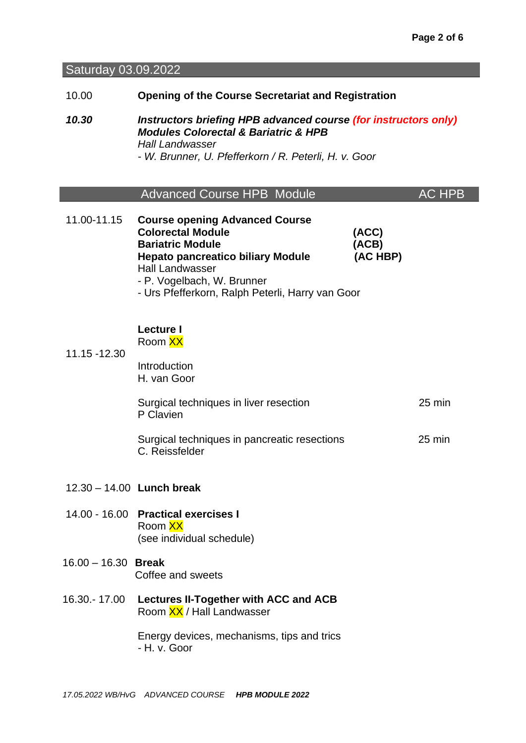Saturday 03.09.2022

- 10.00 **Opening of the Course Secretariat and Registration**
- *10.30 Instructors briefing HPB advanced course (for instructors only) Modules Colorectal & Bariatric & HPB Hall Landwasser - W. Brunner, U. Pfefferkorn / R. Peterli, H. v. Goor*

|             | <b>Advanced Course HPB Module</b>                                 |       | AC HPB |
|-------------|-------------------------------------------------------------------|-------|--------|
| 11.00-11.15 | <b>Course opening Advanced Course</b><br><b>Colorectal Module</b> | (ACC) |        |

- **Bariatric Module (ACB)** (ACB) **Hepato pancreatico biliary Module (AC HBP)** Hall Landwasser - P. Vogelbach, W. Brunner
	- Urs Pfefferkorn, Ralph Peterli, Harry van Goor

### **Lecture I**  Room XX

11.15 -12.30

| Introduction |  |  |
|--------------|--|--|
|              |  |  |
| H. van Goor  |  |  |

| Surgical techniques in liver resection | $25 \text{ min}$ |
|----------------------------------------|------------------|
| P Clavien                              |                  |
|                                        |                  |

| Surgical techniques in pancreatic resections | 25 min |
|----------------------------------------------|--------|
| C. Reissfelder                               |        |

- 12.30 14.00 **Lunch break**
- 14.00 16.00 **Practical exercises I**  Room XX (see individual schedule)

# 16.00 – 16.30 **Break** Coffee and sweets

16.30.- 17.00 **Lectures II-Together with ACC and ACB** Room XX / Hall Landwasser

> Energy devices, mechanisms, tips and trics *-* H. v. Goor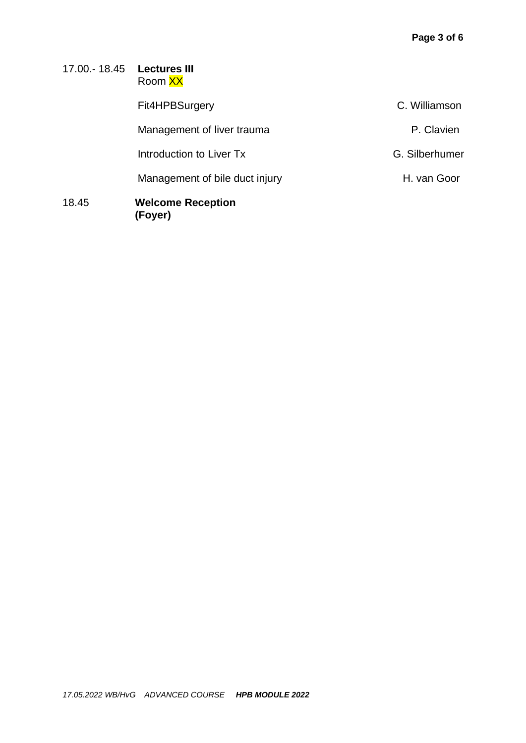# 17.00.- 18.45 **Lectures III** Room XX Fit4HPBSurgery **C. Williamson** Management of liver trauma<br>
P. Clavien Introduction to Liver Tx G. Silberhumer Management of bile duct injury example and the Management of bile duct injury 18.45 **Welcome Reception (Foyer)**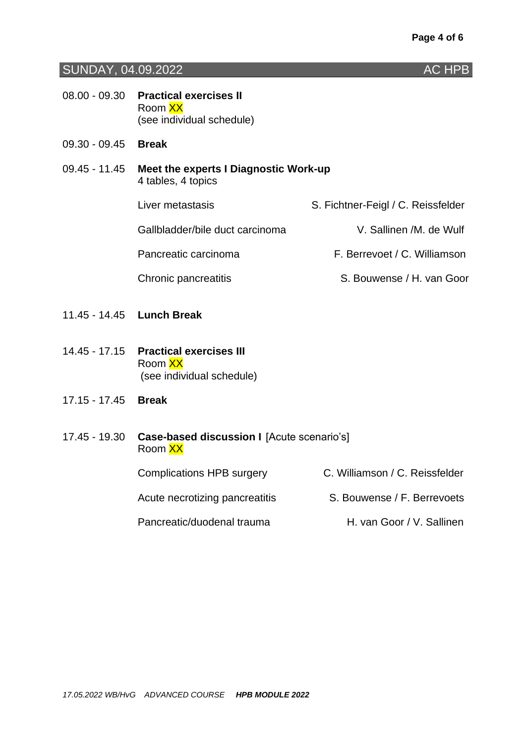# SUNDAY, 04.09.2022 AC HPB

| 08.00 - 09.30 Practical exercises II |
|--------------------------------------|
| Room XX                              |
| (see individual schedule)            |

- 09.30 09.45 **Break**
- 09.45 11.45 **Meet the experts I Diagnostic Work-up** 4 tables, 4 topics Liver metastasis S. Fichtner-Feigl / C. Reissfelder Gallbladder/bile duct carcinoma V. Sallinen /M. de Wulf

Pancreatic carcinoma F. Berrevoet / C. Williamson

Chronic pancreatitis S. Bouwense / H. van Goor

- 11.45 14.45 **Lunch Break**
- 14.45 17.15 **Practical exercises III** Room XX (see individual schedule)
- 17.15 17.45 **Break**
- 17.45 19.30 **Case-based discussion I** [Acute scenario's] Room XX

Complications HPB surgery C. Williamson / C. Reissfelder Acute necrotizing pancreatitis S. Bouwense / F. Berrevoets Pancreatic/duodenal trauma<br>
H. van Goor / V. Sallinen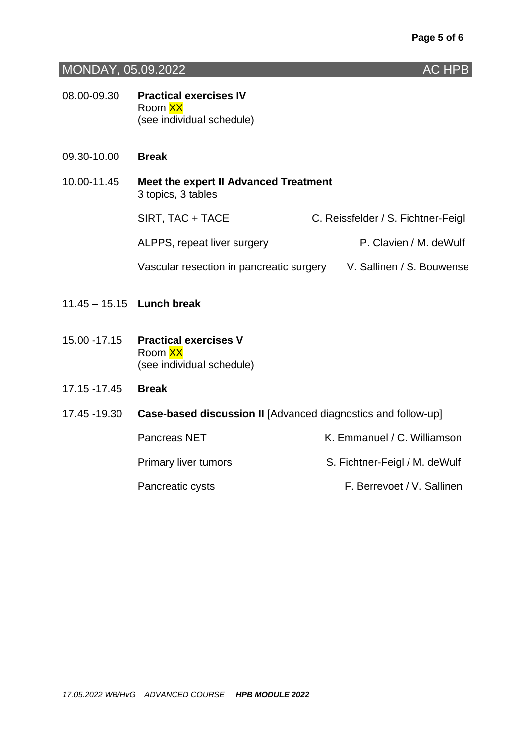# **MONDAY, 05.09.2022 AC HPB**

- 08.00-09.30 **Practical exercises IV**  Room XX (see individual schedule)
- 09.30-10.00 **Break**
- 10.00-11.45 **Meet the expert II Advanced Treatment**  3 topics, 3 tables SIRT, TAC + TACE C. Reissfelder / S. Fichtner-Feigl ALPPS, repeat liver surgery **P. Clavien / M. deWulf** Vascular resection in pancreatic surgery V. Sallinen / S. Bouwense
- 11.45 15.15 **Lunch break**
- 15.00 -17.15 **Practical exercises V**  Room XX (see individual schedule)
- 17.15 -17.45 **Break**
- 17.45 -19.30 **Case-based discussion II** [Advanced diagnostics and follow-up]

Pancreas NET K. Emmanuel / C. Williamson Primary liver tumors S. Fichtner-Feigl / M. deWulf Pancreatic cysts F. Berrevoet / V. Sallinen